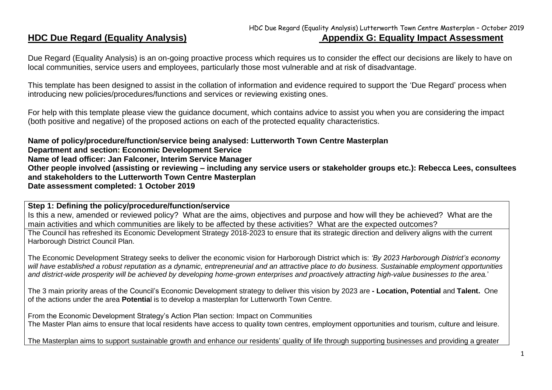## HDC Due Regard (Equality Analysis) Lutterworth Town Centre Masterplan – October 2019 **HDC Due Regard (Equality Analysis) Appendix G: Equality Impact Assessment**

Due Regard (Equality Analysis) is an on-going proactive process which requires us to consider the effect our decisions are likely to have on local communities, service users and employees, particularly those most vulnerable and at risk of disadvantage.

This template has been designed to assist in the collation of information and evidence required to support the 'Due Regard' process when introducing new policies/procedures/functions and services or reviewing existing ones.

For help with this template please view the guidance document, which contains advice to assist you when you are considering the impact (both positive and negative) of the proposed actions on each of the protected equality characteristics.

**Name of policy/procedure/function/service being analysed: Lutterworth Town Centre Masterplan Department and section: Economic Development Service Name of lead officer: Jan Falconer, Interim Service Manager Other people involved (assisting or reviewing – including any service users or stakeholder groups etc.): Rebecca Lees, consultees and stakeholders to the Lutterworth Town Centre Masterplan Date assessment completed: 1 October 2019**

**Step 1: Defining the policy/procedure/function/service**

Is this a new, amended or reviewed policy? What are the aims, objectives and purpose and how will they be achieved? What are the main activities and which communities are likely to be affected by these activities? What are the expected outcomes?

The Council has refreshed its Economic Development Strategy 2018-2023 to ensure that its strategic direction and delivery aligns with the current Harborough District Council Plan.

The Economic Development Strategy seeks to deliver the economic vision for Harborough District which is: *'By 2023 Harborough District's economy will have established a robust reputation as a dynamic, entrepreneurial and an attractive place to do business. Sustainable employment opportunities and district-wide prosperity will be achieved by developing home-grown enterprises and proactively attracting high-value businesses to the area.*'

The 3 main priority areas of the Council's Economic Development strategy to deliver this vision by 2023 are **- Location, Potential** and **Talent.** One of the actions under the area **Potentia**l is to develop a masterplan for Lutterworth Town Centre.

From the Economic Development Strategy's Action Plan section: Impact on Communities The Master Plan aims to ensure that local residents have access to quality town centres, employment opportunities and tourism, culture and leisure.

The Masterplan aims to support sustainable growth and enhance our residents' quality of life through supporting businesses and providing a greater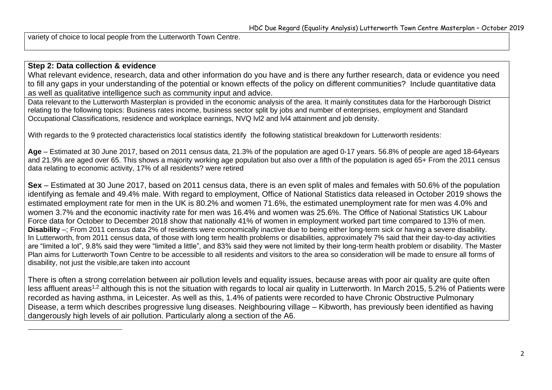variety of choice to local people from the Lutterworth Town Centre.

#### **Step 2: Data collection & evidence**

What relevant evidence, research, data and other information do you have and is there any further research, data or evidence you need to fill any gaps in your understanding of the potential or known effects of the policy on different communities? Include quantitative data as well as qualitative intelligence such as community input and advice.

Data relevant to the Lutterworth Masterplan is provided in the economic analysis of the area. It mainly constitutes data for the Harborough District relating to the following topics: Business rates income, business sector split by jobs and number of enterprises, employment and Standard Occupational Classifications, residence and workplace earnings, NVQ lvl2 and lvl4 attainment and job density.

With regards to the 9 protected characteristics local statistics identify the following statistical breakdown for Lutterworth residents:

**Age** – Estimated at 30 June 2017, based on 2011 census data, 21.3% of the population are aged 0-17 years. 56.8% of people are aged 18-64years and 21.9% are aged over 65. This shows a majority working age population but also over a fifth of the population is aged 65+ From the 2011 census data relating to economic activity, 17% of all residents? were retired

**Sex** – Estimated at 30 June 2017, based on 2011 census data, there is an even split of males and females with 50.6% of the population identifying as female and 49.4% male. With regard to employment, Office of National Statistics data released in October 2019 shows the estimated employment rate for men in the UK is 80.2% and women 71.6%, the estimated unemployment rate for men was 4.0% and women 3.7% and the economic inactivity rate for men was 16.4% and women was 25.6%. The Office of National Statistics UK Labour Force data for October to December 2018 show that nationally 41% of women in employment worked part time compared to 13% of men. **Disability** –; From 2011 census data 2% of residents were economically inactive due to being either long-term sick or having a severe disability. In Lutterworth, from 2011 census data, of those with long term health problems or disabilities, approximately 7% said that their day-to-day activities are "limited a lot", 9.8% said they were "limited a little", and 83% said they were not limited by their long-term health problem or disability. The Master Plan aims for Lutterworth Town Centre to be accessible to all residents and visitors to the area so consideration will be made to ensure all forms of disability, not just the visible,are taken into account

There is often a strong correlation between air pollution levels and equality issues, because areas with poor air quality are quite often less affluent areas<sup>1,2</sup> although this is not the situation with regards to local air quality in Lutterworth. In March 2015, 5.2% of Patients were recorded as having asthma, in Leicester. As well as this, 1.4% of patients were recorded to have Chronic Obstructive Pulmonary Disease, a term which describes progressive lung diseases. Neighbouring village – Kibworth, has previously been identified as having dangerously high levels of air pollution. Particularly along a section of the A6.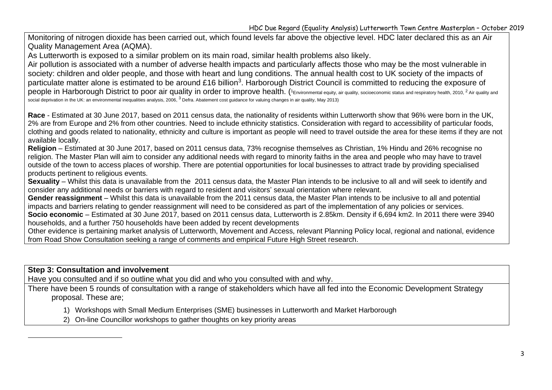Monitoring of nitrogen dioxide has been carried out, which found levels far above the objective level. HDC later declared this as an Air Quality Management Area (AQMA).

As Lutterworth is exposed to a similar problem on its main road, similar health problems also likely.

Air pollution is associated with a number of adverse health impacts and particularly affects those who may be the most vulnerable in society: children and older people, and those with heart and lung conditions. The annual health cost to UK society of the impacts of particulate matter alone is estimated to be around £16 billion<sup>3</sup>. Harborough District Council is committed to reducing the exposure of people in Harborough District to poor air quality in order to improve health. (1 Environmental equity, air quality, socioeconomic status and respiratory health, 2010, <sup>2</sup> Air quality and social deprivation in the UK: an environmental inequalities analysis, 2006,  $^3$  Defra. Abatement cost guidance for valuing changes in air quality, May 2013)

**Race** - Estimated at 30 June 2017, based on 2011 census data, the nationality of residents within Lutterworth show that 96% were born in the UK, 2% are from Europe and 2% from other countries. Need to include ethnicity statistics. Consideration with regard to accessibility of particular foods, clothing and goods related to nationality, ethnicity and culture is important as people will need to travel outside the area for these items if they are not available locally.

**Religion** – Estimated at 30 June 2017, based on 2011 census data, 73% recognise themselves as Christian, 1% Hindu and 26% recognise no religion. The Master Plan will aim to consider any additional needs with regard to minority faiths in the area and people who may have to travel outside of the town to access places of worship. There are potential opportunities for local businesses to attract trade by providing specialised products pertinent to religious events.

**Sexuality** – Whilst this data is unavailable from the 2011 census data, the Master Plan intends to be inclusive to all and will seek to identify and consider any additional needs or barriers with regard to resident and visitors' sexual orientation where relevant.

**Gender reassignment** – Whilst this data is unavailable from the 2011 census data, the Master Plan intends to be inclusive to all and potential impacts and barriers relating to gender reassignment will need to be considered as part of the implementation of any policies or services.

**Socio economic** – Estimated at 30 June 2017, based on 2011 census data, Lutterworth is 2.85km. Density if 6,694 km2. In 2011 there were 3940 households, and a further 750 households have been added by recent developments

Other evidence is pertaining market analysis of Lutterworth, Movement and Access, relevant Planning Policy local, regional and national, evidence from Road Show Consultation seeking a range of comments and empirical Future High Street research.

**Step 3: Consultation and involvement**

Have you consulted and if so outline what you did and who you consulted with and why.

There have been 5 rounds of consultation with a range of stakeholders which have all fed into the Economic Development Strategy proposal. These are;

1) Workshops with Small Medium Enterprises (SME) businesses in Lutterworth and Market Harborough

2) On-line Councillor workshops to gather thoughts on key priority areas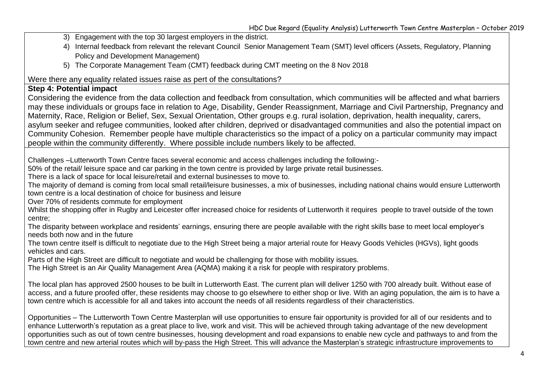- 3) Engagement with the top 30 largest employers in the district.
- 4) Internal feedback from relevant the relevant Council Senior Management Team (SMT) level officers (Assets, Regulatory, Planning Policy and Development Management)
- 5) The Corporate Management Team (CMT) feedback during CMT meeting on the 8 Nov 2018

Were there any equality related issues raise as pert of the consultations?

#### **Step 4: Potential impact**

Considering the evidence from the data collection and feedback from consultation, which communities will be affected and what barriers may these individuals or groups face in relation to Age, Disability, Gender Reassignment, Marriage and Civil Partnership, Pregnancy and Maternity, Race, Religion or Belief, Sex, Sexual Orientation, Other groups e.g. rural isolation, deprivation, health inequality, carers, asylum seeker and refugee communities, looked after children, deprived or disadvantaged communities and also the potential impact on Community Cohesion. Remember people have multiple characteristics so the impact of a policy on a particular community may impact people within the community differently. Where possible include numbers likely to be affected.

Challenges –Lutterworth Town Centre faces several economic and access challenges including the following:-

50% of the retail/ leisure space and car parking in the town centre is provided by large private retail businesses.

There is a lack of space for local leisure/retail and external businesses to move to.

The majority of demand is coming from local small retail/leisure businesses, a mix of businesses, including national chains would ensure Lutterworth town centre is a local destination of choice for business and leisure

Over 70% of residents commute for employment

Whilst the shopping offer in Rugby and Leicester offer increased choice for residents of Lutterworth it requires people to travel outside of the town centre;

The disparity between workplace and residents' earnings, ensuring there are people available with the right skills base to meet local employer's needs both now and in the future

The town centre itself is difficult to negotiate due to the High Street being a major arterial route for Heavy Goods Vehicles (HGVs), light goods vehicles and cars.

Parts of the High Street are difficult to negotiate and would be challenging for those with mobility issues.

The High Street is an Air Quality Management Area (AQMA) making it a risk for people with respiratory problems.

The local plan has approved 2500 houses to be built in Lutterworth East. The current plan will deliver 1250 with 700 already built. Without ease of access, and a future proofed offer, these residents may choose to go elsewhere to either shop or live. With an aging population, the aim is to have a town centre which is accessible for all and takes into account the needs of all residents regardless of their characteristics.

Opportunities – The Lutterworth Town Centre Masterplan will use opportunities to ensure fair opportunity is provided for all of our residents and to enhance Lutterworth's reputation as a great place to live, work and visit. This will be achieved through taking advantage of the new development opportunities such as out of town centre businesses, housing development and road expansions to enable new cycle and pathways to and from the town centre and new arterial routes which will by-pass the High Street. This will advance the Masterplan's strategic infrastructure improvements to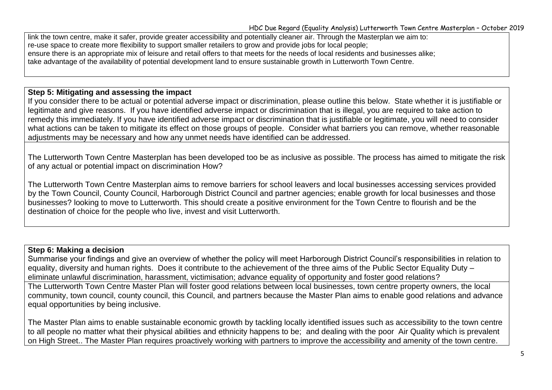link the town centre, make it safer, provide greater accessibility and potentially cleaner air. Through the Masterplan we aim to: re-use space to create more flexibility to support smaller retailers to grow and provide jobs for local people; ensure there is an appropriate mix of leisure and retail offers to that meets for the needs of local residents and businesses alike; take advantage of the availability of potential development land to ensure sustainable growth in Lutterworth Town Centre.

#### **Step 5: Mitigating and assessing the impact**

If you consider there to be actual or potential adverse impact or discrimination, please outline this below. State whether it is justifiable or legitimate and give reasons. If you have identified adverse impact or discrimination that is illegal, you are required to take action to remedy this immediately. If you have identified adverse impact or discrimination that is justifiable or legitimate, you will need to consider what actions can be taken to mitigate its effect on those groups of people. Consider what barriers you can remove, whether reasonable adjustments may be necessary and how any unmet needs have identified can be addressed.

The Lutterworth Town Centre Masterplan has been developed too be as inclusive as possible. The process has aimed to mitigate the risk of any actual or potential impact on discrimination How?

The Lutterworth Town Centre Masterplan aims to remove barriers for school leavers and local businesses accessing services provided by the Town Council, County Council, Harborough District Council and partner agencies; enable growth for local businesses and those businesses? looking to move to Lutterworth. This should create a positive environment for the Town Centre to flourish and be the destination of choice for the people who live, invest and visit Lutterworth.

## **Step 6: Making a decision**

Summarise your findings and give an overview of whether the policy will meet Harborough District Council's responsibilities in relation to equality, diversity and human rights. Does it contribute to the achievement of the three aims of the Public Sector Equality Duty – eliminate unlawful discrimination, harassment, victimisation; advance equality of opportunity and foster good relations?

The Lutterworth Town Centre Master Plan will foster good relations between local businesses, town centre property owners, the local community, town council, county council, this Council, and partners because the Master Plan aims to enable good relations and advance equal opportunities by being inclusive.

The Master Plan aims to enable sustainable economic growth by tackling locally identified issues such as accessibility to the town centre to all people no matter what their physical abilities and ethnicity happens to be; and dealing with the poor Air Quality which is prevalent on High Street.. The Master Plan requires proactively working with partners to improve the accessibility and amenity of the town centre.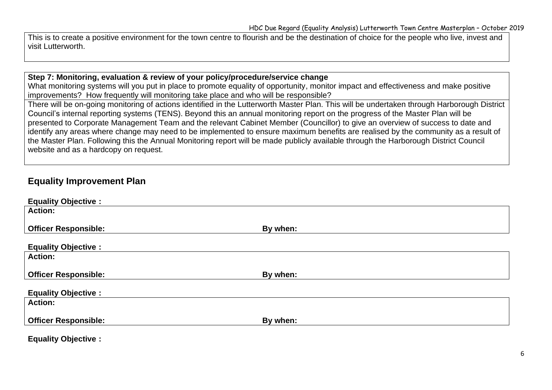This is to create a positive environment for the town centre to flourish and be the destination of choice for the people who live, invest and visit Lutterworth.

#### **Step 7: Monitoring, evaluation & review of your policy/procedure/service change**

What monitoring systems will you put in place to promote equality of opportunity, monitor impact and effectiveness and make positive improvements? How frequently will monitoring take place and who will be responsible?

There will be on-going monitoring of actions identified in the Lutterworth Master Plan. This will be undertaken through Harborough District Council's internal reporting systems (TENS). Beyond this an annual monitoring report on the progress of the Master Plan will be presented to Corporate Management Team and the relevant Cabinet Member (Councillor) to give an overview of success to date and identify any areas where change may need to be implemented to ensure maximum benefits are realised by the community as a result of the Master Plan. Following this the Annual Monitoring report will be made publicly available through the Harborough District Council website and as a hardcopy on request.

# **Equality Improvement Plan**

| <b>Equality Objective:</b>  |          |
|-----------------------------|----------|
| <b>Action:</b>              |          |
|                             |          |
| <b>Officer Responsible:</b> | By when: |
|                             |          |
| <b>Equality Objective:</b>  |          |
| <b>Action:</b>              |          |
|                             |          |
| <b>Officer Responsible:</b> | By when: |
|                             |          |
| <b>Equality Objective:</b>  |          |
|                             |          |
| <b>Action:</b>              |          |
|                             |          |
| <b>Officer Responsible:</b> | By when: |

**Equality Objective :**